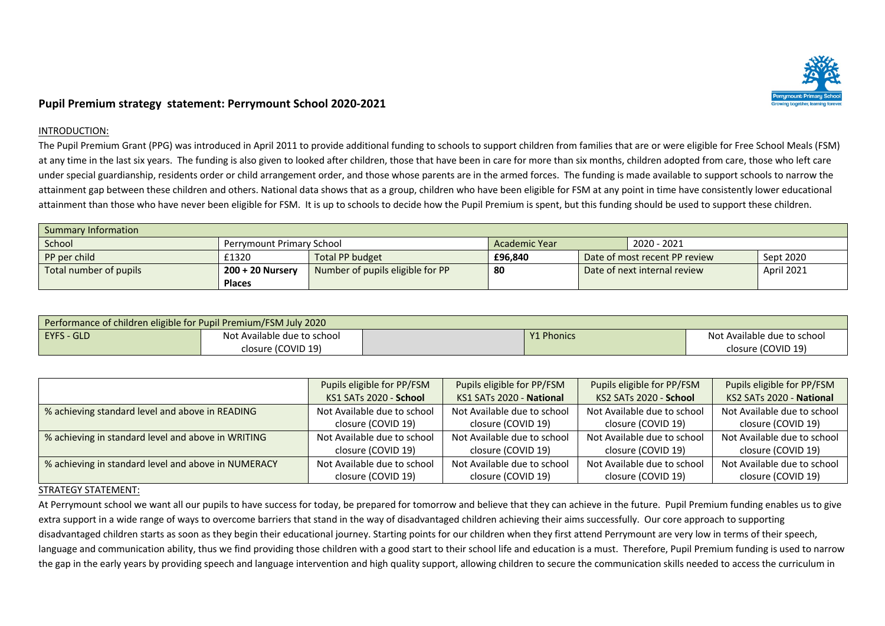

## **Pupil Premium strategy statement: Perrymount School 2020-2021**

## INTRODUCTION:

The Pupil Premium Grant (PPG) was introduced in April 2011 to provide additional funding to schools to support children from families that are or were eligible for Free School Meals (FSM) at any time in the last six years. The funding is also given to looked after children, those that have been in care for more than six months, children adopted from care, those who left care under special guardianship, residents order or child arrangement order, and those whose parents are in the armed forces. The funding is made available to support schools to narrow the attainment gap between these children and others. National data shows that as a group, children who have been eligible for FSM at any point in time have consistently lower educational attainment than those who have never been eligible for FSM. It is up to schools to decide how the Pupil Premium is spent, but this funding should be used to support these children.

| Summary Information    |                                  |                                  |                              |  |                               |            |
|------------------------|----------------------------------|----------------------------------|------------------------------|--|-------------------------------|------------|
| School                 | <b>Perrymount Primary School</b> |                                  | 2020 - 2021<br>Academic Year |  |                               |            |
| PP per child           | £1320                            | <b>Total PP budget</b>           | £96.840                      |  | Date of most recent PP review | Sept 2020  |
| Total number of pupils | 200 + 20 Nursery                 | Number of pupils eligible for PP | 80                           |  | Date of next internal review  | April 2021 |
|                        | Places                           |                                  |                              |  |                               |            |

| Performance of children eligible for Pupil Premium/FSM July 2020 |                             |  |                   |                             |  |  |
|------------------------------------------------------------------|-----------------------------|--|-------------------|-----------------------------|--|--|
| EYFS - GLD                                                       | Not Available due to school |  | <b>Y1 Phonics</b> | Not Available due to school |  |  |
|                                                                  | closure (COVID 19)          |  |                   | closure (COVID 19)          |  |  |

|                                                     | Pupils eligible for PP/FSM  | Pupils eligible for PP/FSM  | Pupils eligible for PP/FSM  | Pupils eligible for PP/FSM  |
|-----------------------------------------------------|-----------------------------|-----------------------------|-----------------------------|-----------------------------|
|                                                     | KS1 SATs 2020 - School      | KS1 SATs 2020 - National    | KS2 SATs 2020 - School      | KS2 SATs 2020 - National    |
| % achieving standard level and above in READING     | Not Available due to school | Not Available due to school | Not Available due to school | Not Available due to school |
|                                                     | closure (COVID 19)          | closure (COVID 19)          | closure (COVID 19)          | closure (COVID 19)          |
| % achieving in standard level and above in WRITING  | Not Available due to school | Not Available due to school | Not Available due to school | Not Available due to school |
|                                                     | closure (COVID 19)          | closure (COVID 19)          | closure (COVID 19)          | closure (COVID 19)          |
| % achieving in standard level and above in NUMERACY | Not Available due to school | Not Available due to school | Not Available due to school | Not Available due to school |
|                                                     | closure (COVID 19)          | closure (COVID 19)          | closure (COVID 19)          | closure (COVID 19)          |

## STRATEGY STATEMENT:

At Perrymount school we want all our pupils to have success for today, be prepared for tomorrow and believe that they can achieve in the future. Pupil Premium funding enables us to give extra support in a wide range of ways to overcome barriers that stand in the way of disadvantaged children achieving their aims successfully. Our core approach to supporting disadvantaged children starts as soon as they begin their educational journey. Starting points for our children when they first attend Perrymount are very low in terms of their speech, language and communication ability, thus we find providing those children with a good start to their school life and education is a must. Therefore, Pupil Premium funding is used to narrow the gap in the early years by providing speech and language intervention and high quality support, allowing children to secure the communication skills needed to access the curriculum in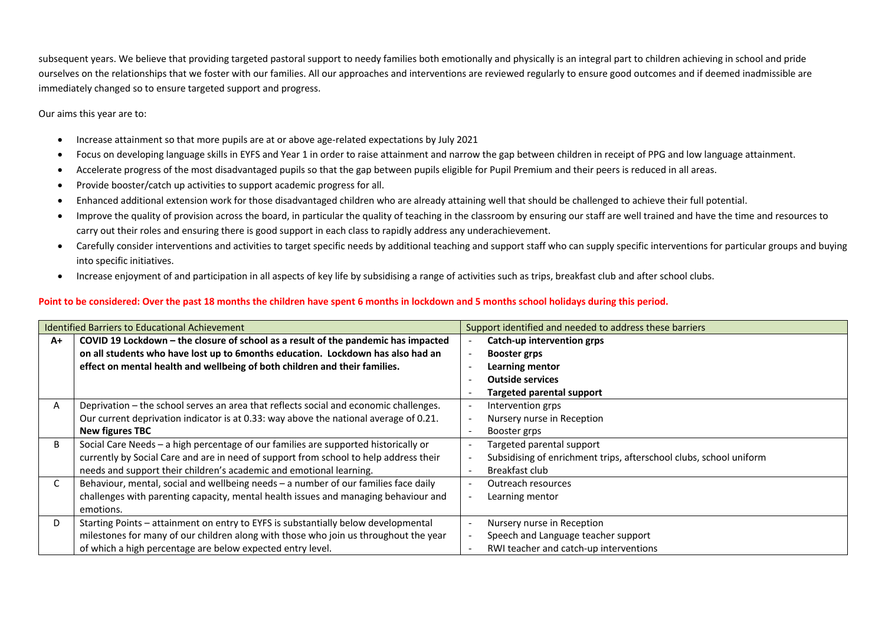subsequent years. We believe that providing targeted pastoral support to needy families both emotionally and physically is an integral part to children achieving in school and pride ourselves on the relationships that we foster with our families. All our approaches and interventions are reviewed regularly to ensure good outcomes and if deemed inadmissible are immediately changed so to ensure targeted support and progress.

Our aims this year are to:

- Increase attainment so that more pupils are at or above age-related expectations by July 2021
- Focus on developing language skills in EYFS and Year 1 in order to raise attainment and narrow the gap between children in receipt of PPG and low language attainment.
- Accelerate progress of the most disadvantaged pupils so that the gap between pupils eligible for Pupil Premium and their peers is reduced in all areas.
- Provide booster/catch up activities to support academic progress for all.
- Enhanced additional extension work for those disadvantaged children who are already attaining well that should be challenged to achieve their full potential.
- Improve the quality of provision across the board, in particular the quality of teaching in the classroom by ensuring our staff are well trained and have the time and resources to carry out their roles and ensuring there is good support in each class to rapidly address any underachievement.
- Carefully consider interventions and activities to target specific needs by additional teaching and support staff who can supply specific interventions for particular groups and buying into specific initiatives.
- Increase enjoyment of and participation in all aspects of key life by subsidising a range of activities such as trips, breakfast club and after school clubs.

## **Point to be considered: Over the past 18 months the children have spent 6 months in lockdown and 5 months school holidays during this period.**

|      | Identified Barriers to Educational Achievement                                        |  | Support identified and needed to address these barriers            |
|------|---------------------------------------------------------------------------------------|--|--------------------------------------------------------------------|
| $A+$ | COVID 19 Lockdown - the closure of school as a result of the pandemic has impacted    |  | Catch-up intervention grps                                         |
|      | on all students who have lost up to 6months education. Lockdown has also had an       |  | <b>Booster grps</b>                                                |
|      | effect on mental health and wellbeing of both children and their families.            |  | Learning mentor                                                    |
|      |                                                                                       |  | <b>Outside services</b>                                            |
|      |                                                                                       |  | <b>Targeted parental support</b>                                   |
| A    | Deprivation – the school serves an area that reflects social and economic challenges. |  | Intervention grps                                                  |
|      | Our current deprivation indicator is at 0.33: way above the national average of 0.21. |  | Nursery nurse in Reception                                         |
|      | <b>New figures TBC</b>                                                                |  | Booster grps                                                       |
| B    | Social Care Needs - a high percentage of our families are supported historically or   |  | Targeted parental support                                          |
|      | currently by Social Care and are in need of support from school to help address their |  | Subsidising of enrichment trips, afterschool clubs, school uniform |
|      | needs and support their children's academic and emotional learning.                   |  | Breakfast club                                                     |
|      | Behaviour, mental, social and wellbeing needs - a number of our families face daily   |  | Outreach resources                                                 |
|      | challenges with parenting capacity, mental health issues and managing behaviour and   |  | Learning mentor                                                    |
|      | emotions.                                                                             |  |                                                                    |
| D    | Starting Points - attainment on entry to EYFS is substantially below developmental    |  | Nursery nurse in Reception                                         |
|      | milestones for many of our children along with those who join us throughout the year  |  | Speech and Language teacher support                                |
|      | of which a high percentage are below expected entry level.                            |  | RWI teacher and catch-up interventions                             |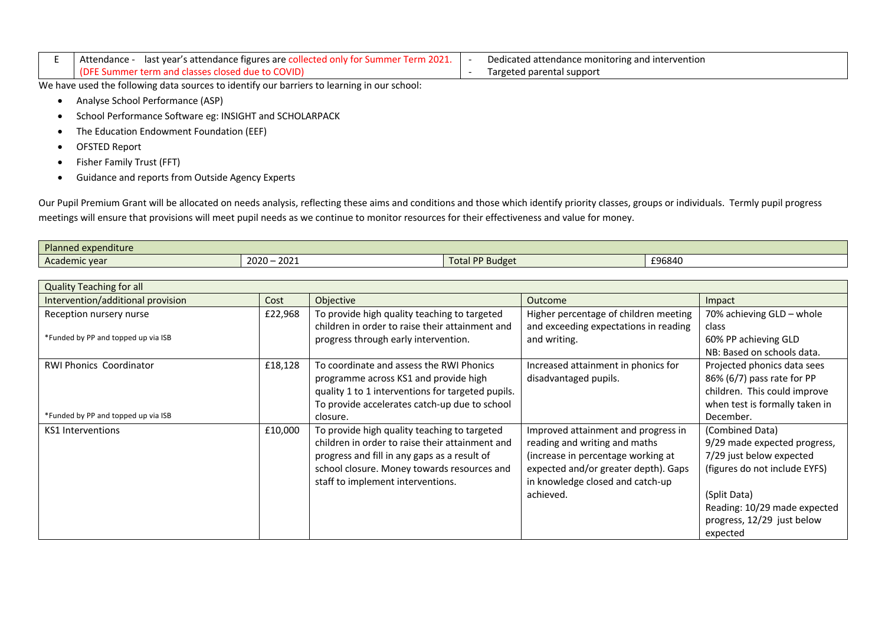| last year's attendance figures are collected only for Summer Term 2021.<br>Attendance | Dedicated attendance monitoring and intervention |
|---------------------------------------------------------------------------------------|--------------------------------------------------|
| (DFE Summer term and classes closed due to COVID)                                     | Targeted parental support                        |

We have used the following data sources to identify our barriers to learning in our school:

- Analyse School Performance (ASP)
- School Performance Software eg: INSIGHT and SCHOLARPACK
- The Education Endowment Foundation (EEF)
- OFSTED Report
- Fisher Family Trust (FFT)
- Guidance and reports from Outside Agency Experts

Our Pupil Premium Grant will be allocated on needs analysis, reflecting these aims and conditions and those which identify priority classes, groups or individuals. Termly pupil progress meetings will ensure that provisions will meet pupil needs as we continue to monitor resources for their effectiveness and value for money.

| Planned<br>expenditure |                        |                        |        |
|------------------------|------------------------|------------------------|--------|
| Academic year          | 2021<br>2020 –<br>2021 | <b>Budge</b><br>i otal | £96840 |

| <b>Quality Teaching for all</b>     |         |                                                   |                                       |                                |
|-------------------------------------|---------|---------------------------------------------------|---------------------------------------|--------------------------------|
| Intervention/additional provision   | Cost    | Objective                                         | <b>Outcome</b>                        | Impact                         |
| Reception nursery nurse             | £22,968 | To provide high quality teaching to targeted      | Higher percentage of children meeting | 70% achieving GLD - whole      |
|                                     |         | children in order to raise their attainment and   | and exceeding expectations in reading | class                          |
| *Funded by PP and topped up via ISB |         | progress through early intervention.              | and writing.                          | 60% PP achieving GLD           |
|                                     |         |                                                   |                                       | NB: Based on schools data.     |
| <b>RWI Phonics Coordinator</b>      | £18,128 | To coordinate and assess the RWI Phonics          | Increased attainment in phonics for   | Projected phonics data sees    |
|                                     |         | programme across KS1 and provide high             | disadvantaged pupils.                 | 86% (6/7) pass rate for PP     |
|                                     |         | quality 1 to 1 interventions for targeted pupils. |                                       | children. This could improve   |
|                                     |         | To provide accelerates catch-up due to school     |                                       | when test is formally taken in |
| *Funded by PP and topped up via ISB |         | closure.                                          |                                       | December.                      |
| KS1 Interventions                   | £10,000 | To provide high quality teaching to targeted      | Improved attainment and progress in   | (Combined Data)                |
|                                     |         | children in order to raise their attainment and   | reading and writing and maths         | 9/29 made expected progress,   |
|                                     |         | progress and fill in any gaps as a result of      | (increase in percentage working at    | 7/29 just below expected       |
|                                     |         | school closure. Money towards resources and       | expected and/or greater depth). Gaps  | (figures do not include EYFS)  |
|                                     |         | staff to implement interventions.                 | in knowledge closed and catch-up      |                                |
|                                     |         |                                                   | achieved.                             | (Split Data)                   |
|                                     |         |                                                   |                                       | Reading: 10/29 made expected   |
|                                     |         |                                                   |                                       | progress, 12/29 just below     |
|                                     |         |                                                   |                                       | expected                       |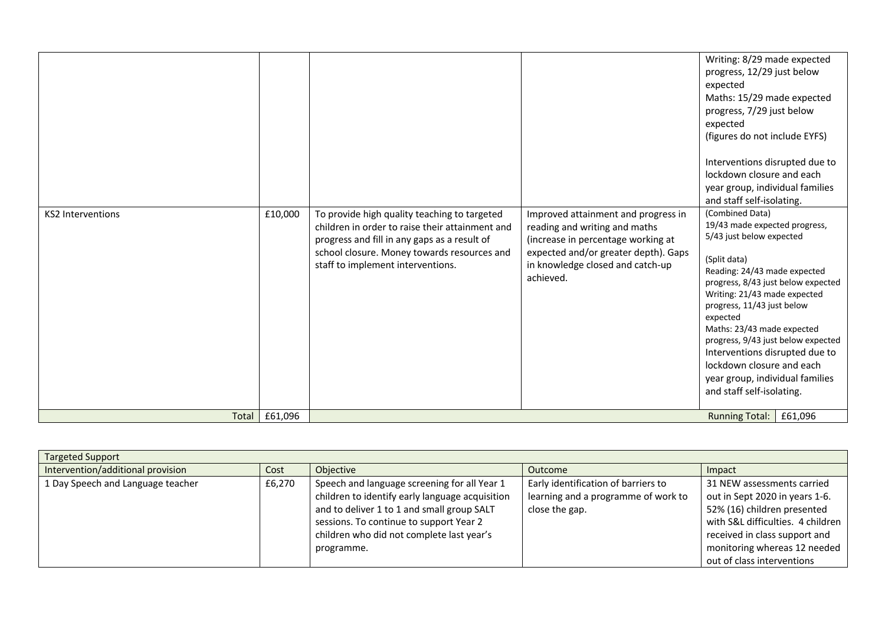| <b>KS2 Interventions</b> | £10,000 | To provide high quality teaching to targeted<br>children in order to raise their attainment and<br>progress and fill in any gaps as a result of<br>school closure. Money towards resources and<br>staff to implement interventions. | Improved attainment and progress in<br>reading and writing and maths<br>(increase in percentage working at<br>expected and/or greater depth). Gaps<br>in knowledge closed and catch-up<br>achieved. | Writing: 8/29 made expected<br>progress, 12/29 just below<br>expected<br>Maths: 15/29 made expected<br>progress, 7/29 just below<br>expected<br>(figures do not include EYFS)<br>Interventions disrupted due to<br>lockdown closure and each<br>year group, individual families<br>and staff self-isolating.<br>(Combined Data)<br>19/43 made expected progress,<br>5/43 just below expected<br>(Split data)<br>Reading: 24/43 made expected<br>progress, 8/43 just below expected<br>Writing: 21/43 made expected<br>progress, 11/43 just below<br>expected<br>Maths: 23/43 made expected<br>progress, 9/43 just below expected<br>Interventions disrupted due to<br>lockdown closure and each<br>year group, individual families<br>and staff self-isolating. |
|--------------------------|---------|-------------------------------------------------------------------------------------------------------------------------------------------------------------------------------------------------------------------------------------|-----------------------------------------------------------------------------------------------------------------------------------------------------------------------------------------------------|-----------------------------------------------------------------------------------------------------------------------------------------------------------------------------------------------------------------------------------------------------------------------------------------------------------------------------------------------------------------------------------------------------------------------------------------------------------------------------------------------------------------------------------------------------------------------------------------------------------------------------------------------------------------------------------------------------------------------------------------------------------------|
| Total                    | £61,096 |                                                                                                                                                                                                                                     |                                                                                                                                                                                                     | <b>Running Total:</b><br>£61,096                                                                                                                                                                                                                                                                                                                                                                                                                                                                                                                                                                                                                                                                                                                                |

| <b>Targeted Support</b>           |        |                                                 |                                     |                                   |
|-----------------------------------|--------|-------------------------------------------------|-------------------------------------|-----------------------------------|
| Intervention/additional provision | Cost   | Objective                                       | <b>Outcome</b>                      | Impact                            |
| 1 Day Speech and Language teacher | £6,270 | Speech and language screening for all Year 1    | Early identification of barriers to | 31 NEW assessments carried        |
|                                   |        | children to identify early language acquisition | learning and a programme of work to | out in Sept 2020 in years 1-6.    |
|                                   |        | and to deliver 1 to 1 and small group SALT      | close the gap.                      | 52% (16) children presented       |
|                                   |        | sessions. To continue to support Year 2         |                                     | with S&L difficulties. 4 children |
|                                   |        | children who did not complete last year's       |                                     | received in class support and     |
|                                   |        | programme.                                      |                                     | monitoring whereas 12 needed      |
|                                   |        |                                                 |                                     | out of class interventions        |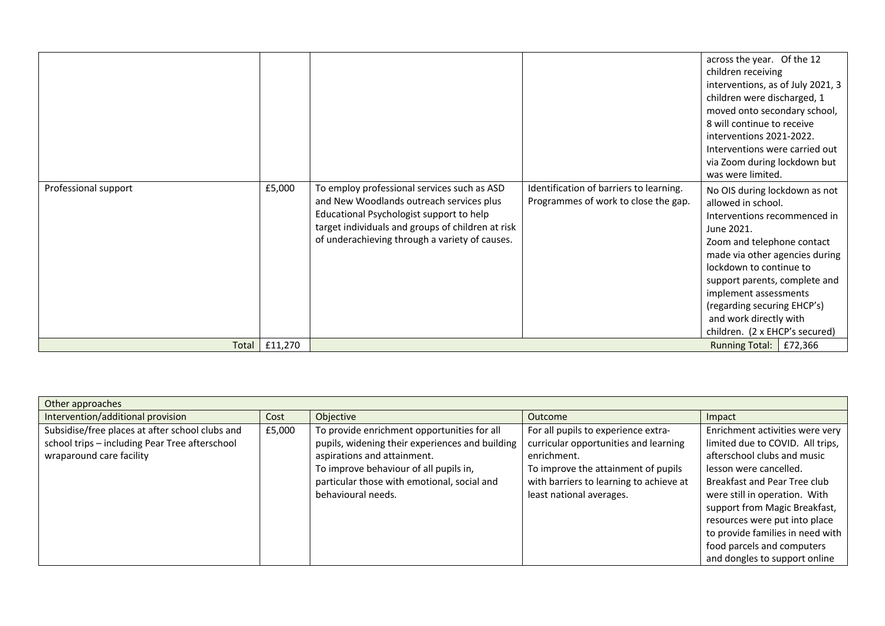|                      |         |                                                                                                                                                                                                                                            |                                                                                 | across the year. Of the 12<br>children receiving<br>interventions, as of July 2021, 3<br>children were discharged, 1<br>moved onto secondary school,<br>8 will continue to receive<br>interventions 2021-2022.<br>Interventions were carried out<br>via Zoom during lockdown but<br>was were limited.                                             |
|----------------------|---------|--------------------------------------------------------------------------------------------------------------------------------------------------------------------------------------------------------------------------------------------|---------------------------------------------------------------------------------|---------------------------------------------------------------------------------------------------------------------------------------------------------------------------------------------------------------------------------------------------------------------------------------------------------------------------------------------------|
| Professional support | £5,000  | To employ professional services such as ASD<br>and New Woodlands outreach services plus<br>Educational Psychologist support to help<br>target individuals and groups of children at risk<br>of underachieving through a variety of causes. | Identification of barriers to learning.<br>Programmes of work to close the gap. | No OIS during lockdown as not<br>allowed in school.<br>Interventions recommenced in<br>June 2021.<br>Zoom and telephone contact<br>made via other agencies during<br>lockdown to continue to<br>support parents, complete and<br>implement assessments<br>(regarding securing EHCP's)<br>and work directly with<br>children. (2 x EHCP's secured) |
| Total                | £11,270 |                                                                                                                                                                                                                                            |                                                                                 | £72,366<br>Running Total:                                                                                                                                                                                                                                                                                                                         |

| Other approaches                                                                                  |        |                                                                                                |                                                                                |                                                                     |
|---------------------------------------------------------------------------------------------------|--------|------------------------------------------------------------------------------------------------|--------------------------------------------------------------------------------|---------------------------------------------------------------------|
| Intervention/additional provision                                                                 | Cost   | Objective                                                                                      | Outcome                                                                        | Impact                                                              |
| Subsidise/free places at after school clubs and<br>school trips - including Pear Tree afterschool | £5,000 | To provide enrichment opportunities for all<br>pupils, widening their experiences and building | For all pupils to experience extra-<br>curricular opportunities and learning   | Enrichment activities were very<br>limited due to COVID. All trips, |
| wraparound care facility                                                                          |        | aspirations and attainment.                                                                    | enrichment.                                                                    | afterschool clubs and music                                         |
|                                                                                                   |        | To improve behaviour of all pupils in,<br>particular those with emotional, social and          | To improve the attainment of pupils<br>with barriers to learning to achieve at | lesson were cancelled.<br>Breakfast and Pear Tree club              |
|                                                                                                   |        | behavioural needs.                                                                             | least national averages.                                                       | were still in operation. With                                       |
|                                                                                                   |        |                                                                                                |                                                                                | support from Magic Breakfast,<br>resources were put into place      |
|                                                                                                   |        |                                                                                                |                                                                                | to provide families in need with                                    |
|                                                                                                   |        |                                                                                                |                                                                                | food parcels and computers                                          |
|                                                                                                   |        |                                                                                                |                                                                                | and dongles to support online                                       |